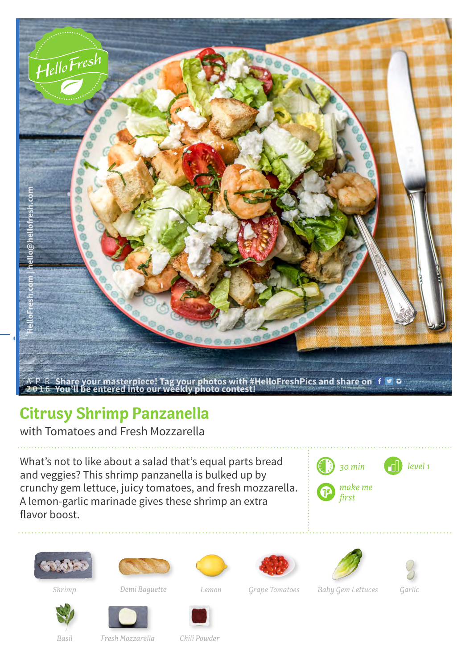

## **Citrusy Shrimp Panzanella**

with Tomatoes and Fresh Mozzarella

What's not to like about a salad that's equal parts bread and veggies? This shrimp panzanella is bulked up by crunchy gem lettuce, juicy tomatoes, and fresh mozzarella. A lemon-garlic marinade gives these shrimp an extra flavor boost.



















*Shrimp Demi Baguette Lemon Grape Tomatoes Baby Gem Lettuces Garlic*



*Basil Fresh Mozzarella Chili Powder*